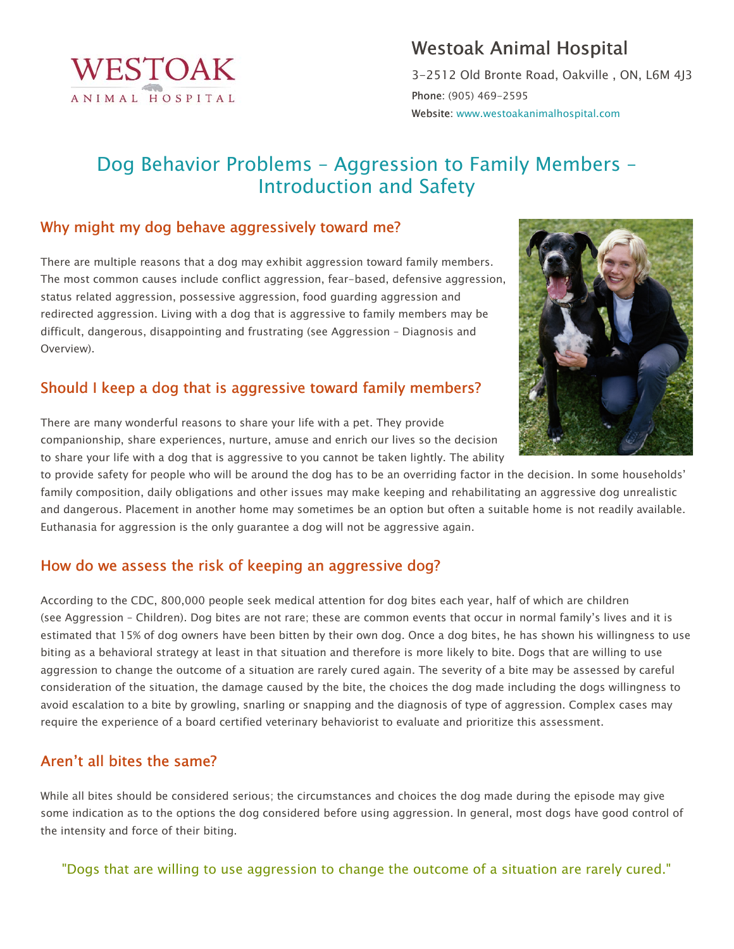

## Westoak Animal Hospital

3-2512 Old Bronte Road, Oakville , ON, L6M 4J3 Phone: (905) 469-2595 Website: www.westoakanimalhospital.com

# Dog Behavior Problems – Aggression to Family Members – Introduction and Safety

### Why might my dog behave aggressively toward me?

There are multiple reasons that a dog may exhibit aggression toward family members. The most common causes include conflict aggression, fear-based, defensive aggression, status related aggression, possessive aggression, food guarding aggression and redirected aggression. Living with a dog that is aggressive to family members may be difficult, dangerous, disappointing and frustrating (see Aggression – Diagnosis and Overview).

## Should I keep a dog that is aggressive toward family members?

There are many wonderful reasons to share your life with a pet. They provide companionship, share experiences, nurture, amuse and enrich our lives so the decision to share your life with a dog that is aggressive to you cannot be taken lightly. The ability

to provide safety for people who will be around the dog has to be an overriding factor in the decision. In some households' family composition, daily obligations and other issues may make keeping and rehabilitating an aggressive dog unrealistic and dangerous. Placement in another home may sometimes be an option but often a suitable home is not readily available. Euthanasia for aggression is the only guarantee a dog will not be aggressive again.

#### How do we assess the risk of keeping an aggressive dog?

According to the CDC, 800,000 people seek medical attention for dog bites each year, half of which are children (see Aggression – Children). Dog bites are not rare; these are common events that occur in normal family's lives and it is estimated that 15% of dog owners have been bitten by their own dog. Once a dog bites, he has shown his willingness to use biting as a behavioral strategy at least in that situation and therefore is more likely to bite. Dogs that are willing to use aggression to change the outcome of a situation are rarely cured again. The severity of a bite may be assessed by careful consideration of the situation, the damage caused by the bite, the choices the dog made including the dogs willingness to avoid escalation to a bite by growling, snarling or snapping and the diagnosis of type of aggression. Complex cases may require the experience of a board certified veterinary behaviorist to evaluate and prioritize this assessment.

#### Aren't all bites the same?

While all bites should be considered serious; the circumstances and choices the dog made during the episode may give some indication as to the options the dog considered before using aggression. In general, most dogs have good control of the intensity and force of their biting.

"Dogs that are willing to use aggression to change the outcome of a situation are rarely cured."

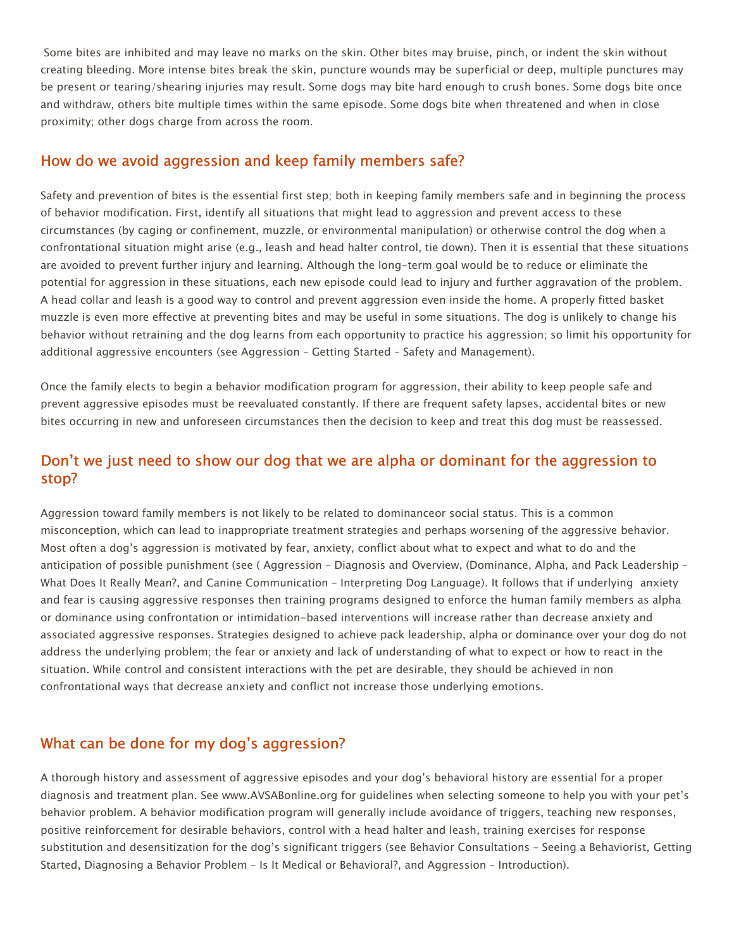Some bites are inhibited and may leave no marks on the skin. Other bites may bruise, pinch, or indent the skin without creating bleeding. More intense bites break the skin, puncture wounds may be superficial or deep, multiple punctures may be present or tearing/shearing injuries may result. Some dogs may bite hard enough to crush bones. Some dogs bite once and withdraw, others bite multiple times within the same episode. Some dogs bite when threatened and when in close proximity; other dogs charge from across the room.

#### How do we avoid aggression and keep family members safe?

Safety and prevention of bites is the essential first step; both in keeping family members safe and in beginning the process of behavior modification. First, identify all situations that might lead to aggression and prevent access to these circumstances (by caging or confinement, muzzle, or environmental manipulation) or otherwise control the dog when a confrontational situation might arise (e.g., leash and head halter control, tie down). Then it is essential that these situations are avoided to prevent further injury and learning. Although the long-term goal would be to reduce or eliminate the potential for aggression in these situations, each new episode could lead to injury and further aggravation of the problem. A head collar and leash is a good way to control and prevent aggression even inside the home. A properly fitted basket muzzle is even more effective at preventing bites and may be useful in some situations. The dog is unlikely to change his behavior without retraining and the dog learns from each opportunity to practice his aggression; so limit his opportunity for additional aggressive encounters (see Aggression – Getting Started – Safety and Management).

Once the family elects to begin a behavior modification program for aggression, their ability to keep people safe and prevent aggressive episodes must be reevaluated constantly. If there are frequent safety lapses, accidental bites or new bites occurring in new and unforeseen circumstances then the decision to keep and treat this dog must be reassessed.

## Don't we just need to show our dog that we are alpha or dominant for the aggression to stop?

Aggression toward family members is not likely to be related to dominanceor social status. This is a common misconception, which can lead to inappropriate treatment strategies and perhaps worsening of the aggressive behavior. Most often a dog's aggression is motivated by fear, anxiety, conflict about what to expect and what to do and the anticipation of possible punishment (see ( Aggression – Diagnosis and Overview, (Dominance, Alpha, and Pack Leadership – What Does It Really Mean?, and Canine Communication – Interpreting Dog Language). It follows that if underlying anxiety and fear is causing aggressive responses then training programs designed to enforce the human family members as alpha or dominance using confrontation or intimidation-based interventions will increase rather than decrease anxiety and associated aggressive responses. Strategies designed to achieve pack leadership, alpha or dominance over your dog do not address the underlying problem; the fear or anxiety and lack of understanding of what to expect or how to react in the situation. While control and consistent interactions with the pet are desirable, they should be achieved in non confrontational ways that decrease anxiety and conflict not increase those underlying emotions.

#### What can be done for my dog's aggression?

A thorough history and assessment of aggressive episodes and your dog's behavioral history are essential for a proper diagnosis and treatment plan. See www.AVSABonline.org for guidelines when selecting someone to help you with your pet's behavior problem. A behavior modification program will generally include avoidance of triggers, teaching new responses, positive reinforcement for desirable behaviors, control with a head halter and leash, training exercises for response substitution and desensitization for the dog's significant triggers (see Behavior Consultations – Seeing a Behaviorist, Getting Started, Diagnosing a Behavior Problem – Is It Medical or Behavioral?, and Aggression – Introduction).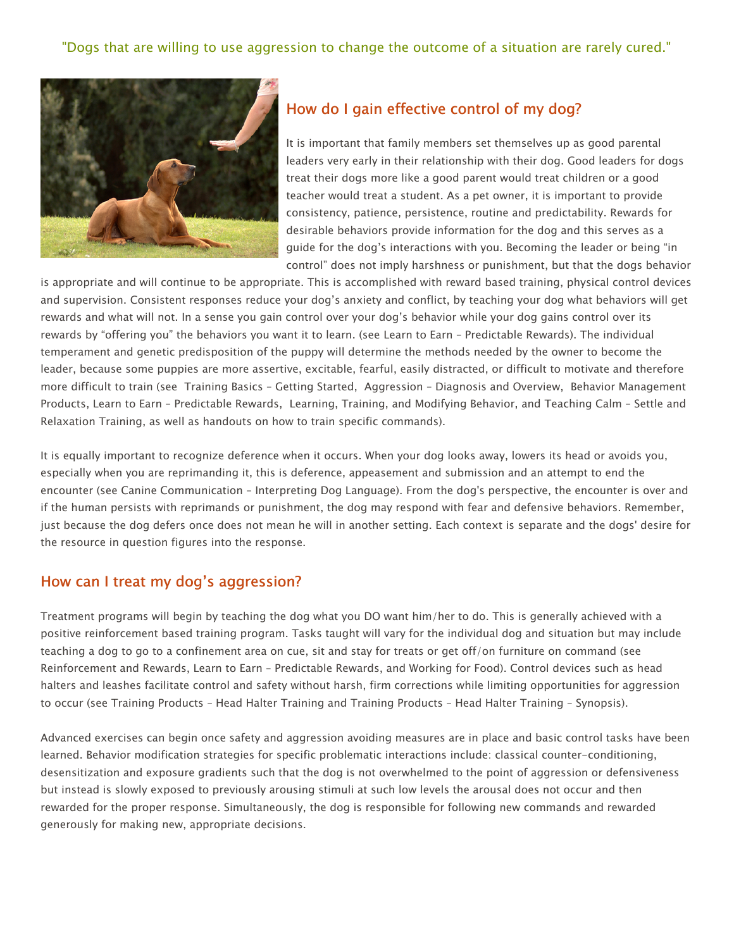

## How do I gain effective control of my dog?

It is important that family members set themselves up as good parental leaders very early in their relationship with their dog. Good leaders for dogs treat their dogs more like a good parent would treat children or a good teacher would treat a student. As a pet owner, it is important to provide consistency, patience, persistence, routine and predictability. Rewards for desirable behaviors provide information for the dog and this serves as a guide for the dog's interactions with you. Becoming the leader or being "in control" does not imply harshness or punishment, but that the dogs behavior

is appropriate and will continue to be appropriate. This is accomplished with reward based training, physical control devices and supervision. Consistent responses reduce your dog's anxiety and conflict, by teaching your dog what behaviors will get rewards and what will not. In a sense you gain control over your dog's behavior while your dog gains control over its rewards by "offering you" the behaviors you want it to learn. (see Learn to Earn – Predictable Rewards). The individual temperament and genetic predisposition of the puppy will determine the methods needed by the owner to become the leader, because some puppies are more assertive, excitable, fearful, easily distracted, or difficult to motivate and therefore more difficult to train (see Training Basics – Getting Started, Aggression – Diagnosis and Overview, Behavior Management Products, Learn to Earn – Predictable Rewards, Learning, Training, and Modifying Behavior, and Teaching Calm – Settle and Relaxation Training, as well as handouts on how to train specific commands).

It is equally important to recognize deference when it occurs. When your dog looks away, lowers its head or avoids you, especially when you are reprimanding it, this is deference, appeasement and submission and an attempt to end the encounter (see Canine Communication – Interpreting Dog Language). From the dog's perspective, the encounter is over and if the human persists with reprimands or punishment, the dog may respond with fear and defensive behaviors. Remember, just because the dog defers once does not mean he will in another setting. Each context is separate and the dogs' desire for the resource in question figures into the response.

#### How can I treat my dog's aggression?

Treatment programs will begin by teaching the dog what you DO want him/her to do. This is generally achieved with a positive reinforcement based training program. Tasks taught will vary for the individual dog and situation but may include teaching a dog to go to a confinement area on cue, sit and stay for treats or get off/on furniture on command (see Reinforcement and Rewards, Learn to Earn – Predictable Rewards, and Working for Food). Control devices such as head halters and leashes facilitate control and safety without harsh, firm corrections while limiting opportunities for aggression to occur (see Training Products – Head Halter Training and Training Products – Head Halter Training – Synopsis).

Advanced exercises can begin once safety and aggression avoiding measures are in place and basic control tasks have been learned. Behavior modification strategies for specific problematic interactions include: classical counter-conditioning, desensitization and exposure gradients such that the dog is not overwhelmed to the point of aggression or defensiveness but instead is slowly exposed to previously arousing stimuli at such low levels the arousal does not occur and then rewarded for the proper response. Simultaneously, the dog is responsible for following new commands and rewarded generously for making new, appropriate decisions.